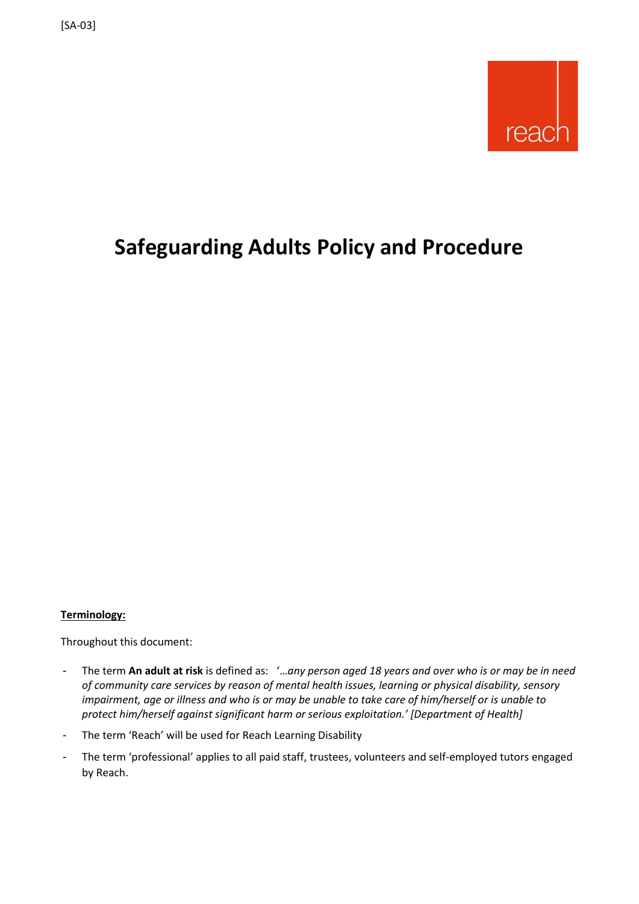

## **Safeguarding Adults Policy and Procedure**

#### **Terminology:**

Throughout this document:

- The term **An adult at risk** is defined as: '…*any person aged 18 years and over who is or may be in need of community care services by reason of mental health issues, learning or physical disability, sensory impairment, age or illness and who is or may be unable to take care of him/herself or is unable to protect him/herself against significant harm or serious exploitation.' [Department of Health]*
- The term 'Reach' will be used for Reach Learning Disability
- The term 'professional' applies to all paid staff, trustees, volunteers and self-employed tutors engaged by Reach.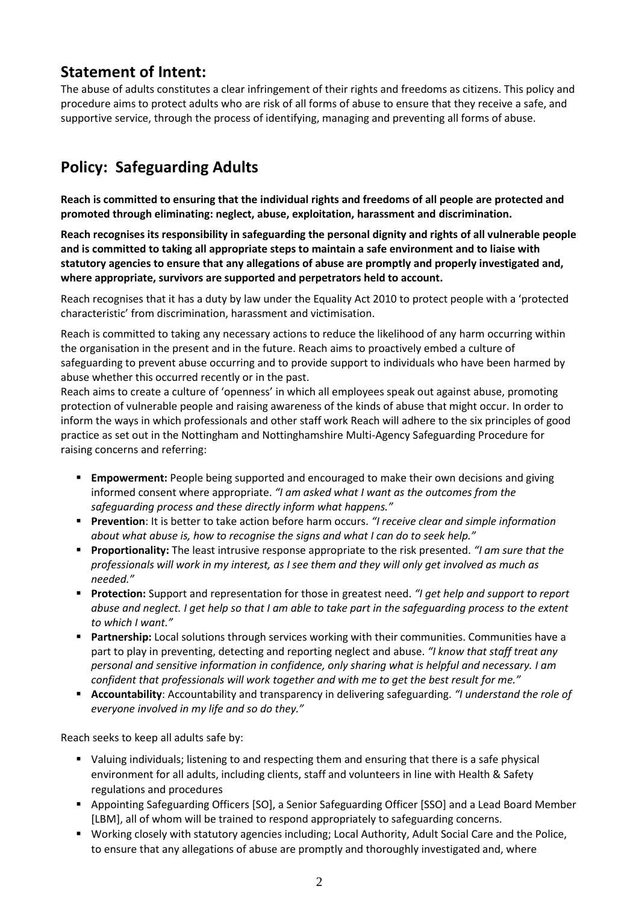## **Statement of Intent:**

The abuse of adults constitutes a clear infringement of their rights and freedoms as citizens. This policy and procedure aims to protect adults who are risk of all forms of abuse to ensure that they receive a safe, and supportive service, through the process of identifying, managing and preventing all forms of abuse.

## **Policy: Safeguarding Adults**

**Reach is committed to ensuring that the individual rights and freedoms of all people are protected and promoted through eliminating: neglect, abuse, exploitation, harassment and discrimination.**

**Reach recognises its responsibility in safeguarding the personal dignity and rights of all vulnerable people and is committed to taking all appropriate steps to maintain a safe environment and to liaise with statutory agencies to ensure that any allegations of abuse are promptly and properly investigated and, where appropriate, survivors are supported and perpetrators held to account.**

Reach recognises that it has a duty by law under the Equality Act 2010 to protect people with a 'protected characteristic' from discrimination, harassment and victimisation.

Reach is committed to taking any necessary actions to reduce the likelihood of any harm occurring within the organisation in the present and in the future. Reach aims to proactively embed a culture of safeguarding to prevent abuse occurring and to provide support to individuals who have been harmed by abuse whether this occurred recently or in the past.

Reach aims to create a culture of 'openness' in which all employees speak out against abuse, promoting protection of vulnerable people and raising awareness of the kinds of abuse that might occur. In order to inform the ways in which professionals and other staff work Reach will adhere to the six principles of good practice as set out in the Nottingham and Nottinghamshire Multi-Agency Safeguarding Procedure for raising concerns and referring:

- **Empowerment:** People being supported and encouraged to make their own decisions and giving informed consent where appropriate. *"I am asked what I want as the outcomes from the safeguarding process and these directly inform what happens."*
- **Prevention**: It is better to take action before harm occurs. *"I receive clear and simple information about what abuse is, how to recognise the signs and what I can do to seek help."*
- **Proportionality:** The least intrusive response appropriate to the risk presented. *"I am sure that the professionals will work in my interest, as I see them and they will only get involved as much as needed."*
- **Protection:** Support and representation for those in greatest need. *"I get help and support to report abuse and neglect. I get help so that I am able to take part in the safeguarding process to the extent to which I want."*
- **Partnership:** Local solutions through services working with their communities. Communities have a part to play in preventing, detecting and reporting neglect and abuse. *"I know that staff treat any personal and sensitive information in confidence, only sharing what is helpful and necessary. I am confident that professionals will work together and with me to get the best result for me."*
- **Accountability**: Accountability and transparency in delivering safeguarding. *"I understand the role of everyone involved in my life and so do they."*

Reach seeks to keep all adults safe by:

- Valuing individuals; listening to and respecting them and ensuring that there is a safe physical environment for all adults, including clients, staff and volunteers in line with Health & Safety regulations and procedures
- Appointing Safeguarding Officers [SO], a Senior Safeguarding Officer [SSO] and a Lead Board Member [LBM], all of whom will be trained to respond appropriately to safeguarding concerns.
- Working closely with statutory agencies including; Local Authority, Adult Social Care and the Police, to ensure that any allegations of abuse are promptly and thoroughly investigated and, where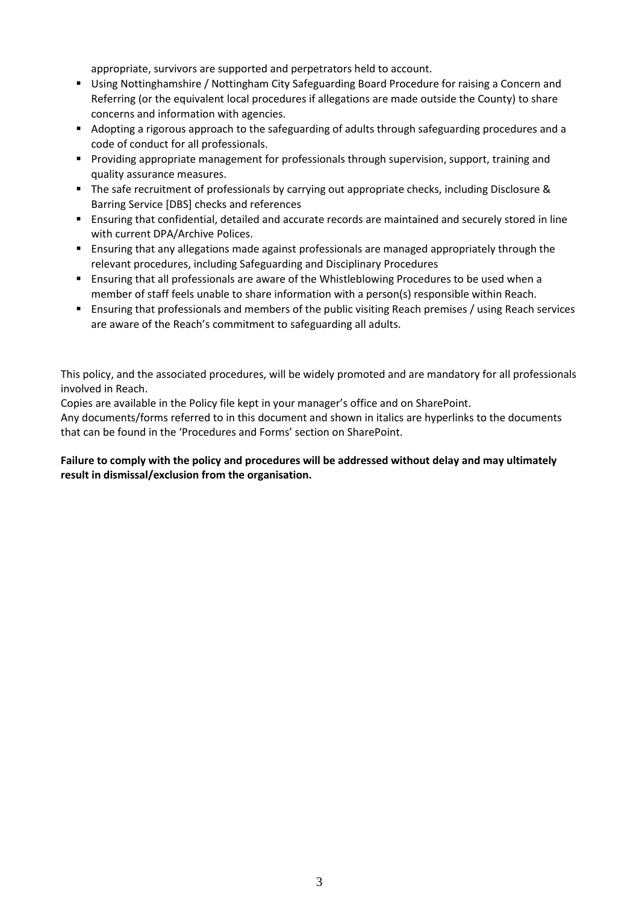appropriate, survivors are supported and perpetrators held to account.

- Using Nottinghamshire / Nottingham City Safeguarding Board Procedure for raising a Concern and Referring (or the equivalent local procedures if allegations are made outside the County) to share concerns and information with agencies.
- Adopting a rigorous approach to the safeguarding of adults through safeguarding procedures and a code of conduct for all professionals.
- Providing appropriate management for professionals through supervision, support, training and quality assurance measures.
- The safe recruitment of professionals by carrying out appropriate checks, including Disclosure & Barring Service [DBS] checks and references
- **E** Ensuring that confidential, detailed and accurate records are maintained and securely stored in line with current DPA/Archive Polices.
- Ensuring that any allegations made against professionals are managed appropriately through the relevant procedures, including Safeguarding and Disciplinary Procedures
- Ensuring that all professionals are aware of the Whistleblowing Procedures to be used when a member of staff feels unable to share information with a person(s) responsible within Reach.
- Ensuring that professionals and members of the public visiting Reach premises / using Reach services are aware of the Reach's commitment to safeguarding all adults.

This policy, and the associated procedures, will be widely promoted and are mandatory for all professionals involved in Reach.

Copies are available in the Policy file kept in your manager's office and on SharePoint.

Any documents/forms referred to in this document and shown in italics are hyperlinks to the documents that can be found in the 'Procedures and Forms' section on SharePoint.

#### **Failure to comply with the policy and procedures will be addressed without delay and may ultimately result in dismissal/exclusion from the organisation.**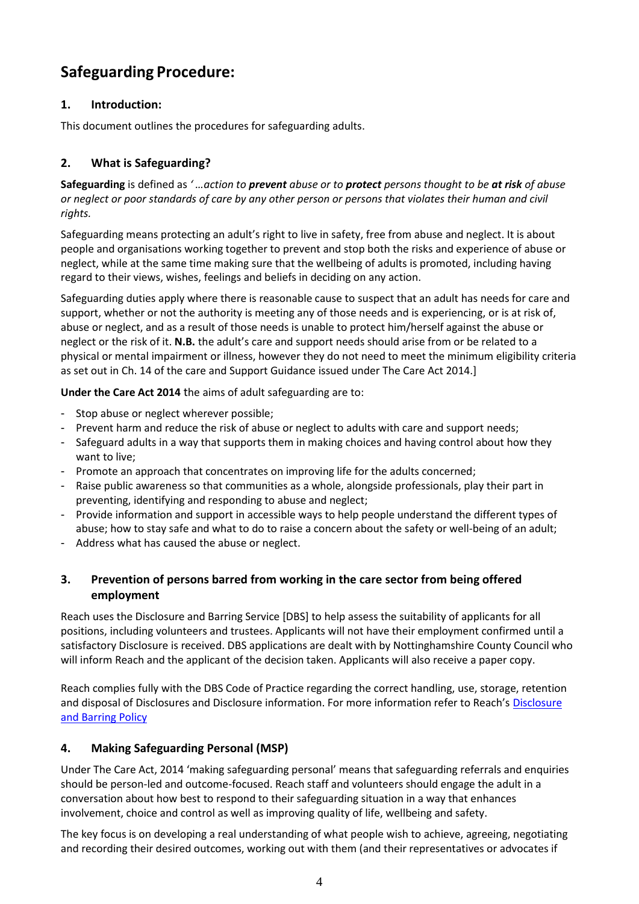## **Safeguarding Procedure:**

#### **1. Introduction:**

This document outlines the procedures for safeguarding adults.

#### **2. What is Safeguarding?**

**Safeguarding** is defined as *' …action to prevent abuse or to protect persons thought to be at risk of abuse or neglect or poor standards of care by any other person or persons that violates their human and civil rights.*

Safeguarding means protecting an adult's right to live in safety, free from abuse and neglect. It is about people and organisations working together to prevent and stop both the risks and experience of abuse or neglect, while at the same time making sure that the wellbeing of adults is promoted, including having regard to their views, wishes, feelings and beliefs in deciding on any action.

Safeguarding duties apply where there is reasonable cause to suspect that an adult has needs for care and support, whether or not the authority is meeting any of those needs and is experiencing, or is at risk of, abuse or neglect, and as a result of those needs is unable to protect him/herself against the abuse or neglect or the risk of it. **N.B.** the adult's care and support needs should arise from or be related to a physical or mental impairment or illness, however they do not need to meet the minimum eligibility criteria as set out in Ch. 14 of the care and Support Guidance issued under The Care Act 2014.]

**Under the Care Act 2014** the aims of adult safeguarding are to:

- Stop abuse or neglect wherever possible;
- Prevent harm and reduce the risk of abuse or neglect to adults with care and support needs;
- Safeguard adults in a way that supports them in making choices and having control about how they want to live;
- Promote an approach that concentrates on improving life for the adults concerned;
- Raise public awareness so that communities as a whole, alongside professionals, play their part in preventing, identifying and responding to abuse and neglect;
- Provide information and support in accessible ways to help people understand the different types of abuse; how to stay safe and what to do to raise a concern about the safety or well-being of an adult;
- Address what has caused the abuse or neglect.

#### **3. Prevention of persons barred from working in the care sector from being offered employment**

Reach uses the Disclosure and Barring Service [DBS] to help assess the suitability of applicants for all positions, including volunteers and trustees. Applicants will not have their employment confirmed until a satisfactory Disclosure is received. DBS applications are dealt with by Nottinghamshire County Council who will inform Reach and the applicant of the decision taken. Applicants will also receive a paper copy.

Reach complies fully with the DBS Code of Practice regarding the correct handling, use, storage, retention and disposal of Disclosures and [Disclosure](https://reachuk.sharepoint.com/sites/documentlibrary/Shared%20Documents/Forms/AllItems.aspx?id=%2Fsites%2Fdocumentlibrary%2FShared%20Documents%2FPolicies%20and%20Procedures%2FCurrent%20Policies%2FDBS%20Policy%20inc%20ex%2Doffenders%20policy%2Epdf&parent=%2Fsites%2Fdocumentlibrary%2FShared%20Documents%2FPolicies%20and%20Procedures%2FCurrent%20Policies) information. For more information refer to Reach's Disclosure [and Barring Policy](https://reachuk.sharepoint.com/sites/documentlibrary/Shared%20Documents/Forms/AllItems.aspx?id=%2Fsites%2Fdocumentlibrary%2FShared%20Documents%2FPolicies%20and%20Procedures%2FCurrent%20Policies%2FDBS%20Policy%20inc%20ex%2Doffenders%20policy%2Epdf&parent=%2Fsites%2Fdocumentlibrary%2FShared%20Documents%2FPolicies%20and%20Procedures%2FCurrent%20Policies)

#### **4. Making Safeguarding Personal (MSP)**

Under The Care Act, 2014 'making safeguarding personal' means that safeguarding referrals and enquiries should be person-led and outcome-focused. Reach staff and volunteers should engage the adult in a conversation about how best to respond to their safeguarding situation in a way that enhances involvement, choice and control as well as improving quality of life, wellbeing and safety.

The key focus is on developing a real understanding of what people wish to achieve, agreeing, negotiating and recording their desired outcomes, working out with them (and their representatives or advocates if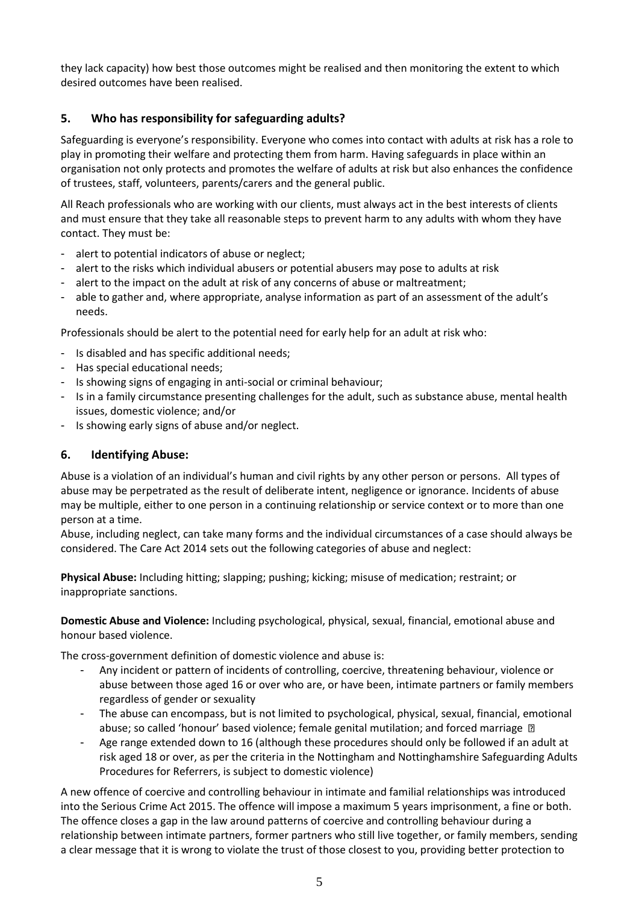they lack capacity) how best those outcomes might be realised and then monitoring the extent to which desired outcomes have been realised.

#### **5. Who has responsibility for safeguarding adults?**

Safeguarding is everyone's responsibility. Everyone who comes into contact with adults at risk has a role to play in promoting their welfare and protecting them from harm. Having safeguards in place within an organisation not only protects and promotes the welfare of adults at risk but also enhances the confidence of trustees, staff, volunteers, parents/carers and the general public.

All Reach professionals who are working with our clients, must always act in the best interests of clients and must ensure that they take all reasonable steps to prevent harm to any adults with whom they have contact. They must be:

- alert to potential indicators of abuse or neglect;
- alert to the risks which individual abusers or potential abusers may pose to adults at risk
- alert to the impact on the adult at risk of any concerns of abuse or maltreatment;
- able to gather and, where appropriate, analyse information as part of an assessment of the adult's needs.

Professionals should be alert to the potential need for early help for an adult at risk who:

- Is disabled and has specific additional needs;
- Has special educational needs;
- Is showing signs of engaging in anti-social or criminal behaviour;
- Is in a family circumstance presenting challenges for the adult, such as substance abuse, mental health issues, domestic violence; and/or
- Is showing early signs of abuse and/or neglect.

#### **6. Identifying Abuse:**

Abuse is a violation of an individual's human and civil rights by any other person or persons. All types of abuse may be perpetrated as the result of deliberate intent, negligence or ignorance. Incidents of abuse may be multiple, either to one person in a continuing relationship or service context or to more than one person at a time.

Abuse, including neglect, can take many forms and the individual circumstances of a case should always be considered. The Care Act 2014 sets out the following categories of abuse and neglect:

**Physical Abuse:** Including hitting; slapping; pushing; kicking; misuse of medication; restraint; or inappropriate sanctions.

**Domestic Abuse and Violence:** Including psychological, physical, sexual, financial, emotional abuse and honour based violence.

The cross-government definition of domestic violence and abuse is:

- Any incident or pattern of incidents of controlling, coercive, threatening behaviour, violence or abuse between those aged 16 or over who are, or have been, intimate partners or family members regardless of gender or sexuality
- The abuse can encompass, but is not limited to psychological, physical, sexual, financial, emotional abuse; so called 'honour' based violence; female genital mutilation; and forced marriage  $\Box$
- Age range extended down to 16 (although these procedures should only be followed if an adult at risk aged 18 or over, as per the criteria in the Nottingham and Nottinghamshire Safeguarding Adults Procedures for Referrers, is subject to domestic violence)

A new offence of coercive and controlling behaviour in intimate and familial relationships was introduced into the Serious Crime Act 2015. The offence will impose a maximum 5 years imprisonment, a fine or both. The offence closes a gap in the law around patterns of coercive and controlling behaviour during a relationship between intimate partners, former partners who still live together, or family members, sending a clear message that it is wrong to violate the trust of those closest to you, providing better protection to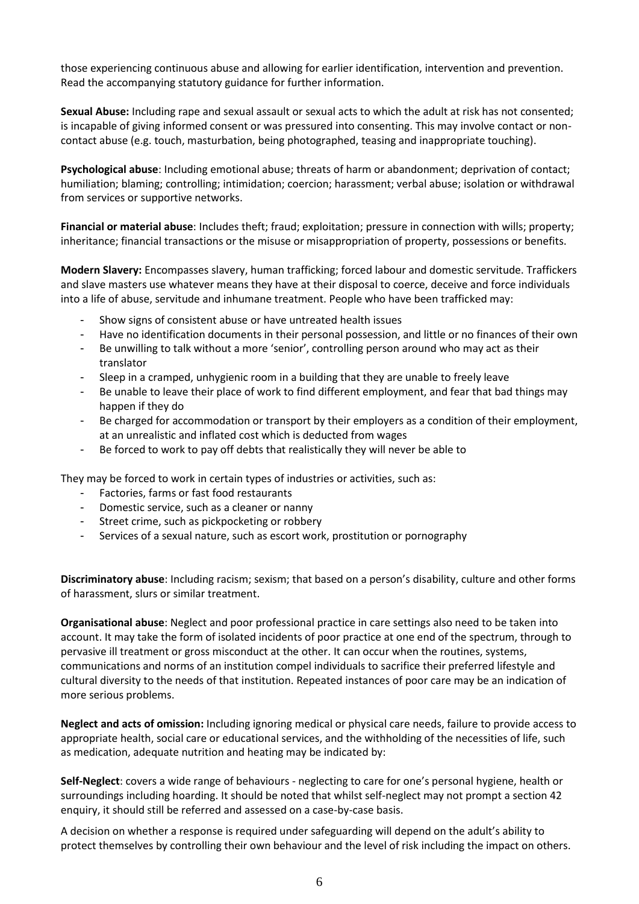those experiencing continuous abuse and allowing for earlier identification, intervention and prevention. Read the accompanying statutory guidance for further information.

**Sexual Abuse:** Including rape and sexual assault or sexual acts to which the adult at risk has not consented; is incapable of giving informed consent or was pressured into consenting. This may involve contact or noncontact abuse (e.g. touch, masturbation, being photographed, teasing and inappropriate touching).

**Psychological abuse**: Including emotional abuse; threats of harm or abandonment; deprivation of contact; humiliation; blaming; controlling; intimidation; coercion; harassment; verbal abuse; isolation or withdrawal from services or supportive networks.

**Financial or material abuse**: Includes theft; fraud; exploitation; pressure in connection with wills; property; inheritance; financial transactions or the misuse or misappropriation of property, possessions or benefits.

**Modern Slavery:** Encompasses slavery, human trafficking; forced labour and domestic servitude. Traffickers and slave masters use whatever means they have at their disposal to coerce, deceive and force individuals into a life of abuse, servitude and inhumane treatment. People who have been trafficked may:

- Show signs of consistent abuse or have untreated health issues
- Have no identification documents in their personal possession, and little or no finances of their own
- Be unwilling to talk without a more 'senior', controlling person around who may act as their translator
- Sleep in a cramped, unhygienic room in a building that they are unable to freely leave
- Be unable to leave their place of work to find different employment, and fear that bad things may happen if they do
- Be charged for accommodation or transport by their employers as a condition of their employment, at an unrealistic and inflated cost which is deducted from wages
- Be forced to work to pay off debts that realistically they will never be able to

They may be forced to work in certain types of industries or activities, such as:

- Factories, farms or fast food restaurants
- Domestic service, such as a cleaner or nanny
- Street crime, such as pickpocketing or robbery
- Services of a sexual nature, such as escort work, prostitution or pornography

**Discriminatory abuse**: Including racism; sexism; that based on a person's disability, culture and other forms of harassment, slurs or similar treatment.

**Organisational abuse**: Neglect and poor professional practice in care settings also need to be taken into account. It may take the form of isolated incidents of poor practice at one end of the spectrum, through to pervasive ill treatment or gross misconduct at the other. It can occur when the routines, systems, communications and norms of an institution compel individuals to sacrifice their preferred lifestyle and cultural diversity to the needs of that institution. Repeated instances of poor care may be an indication of more serious problems.

**Neglect and acts of omission:** Including ignoring medical or physical care needs, failure to provide access to appropriate health, social care or educational services, and the withholding of the necessities of life, such as medication, adequate nutrition and heating may be indicated by:

**Self-Neglect**: covers a wide range of behaviours - neglecting to care for one's personal hygiene, health or surroundings including hoarding. It should be noted that whilst self-neglect may not prompt a section 42 enquiry, it should still be referred and assessed on a case-by-case basis.

A decision on whether a response is required under safeguarding will depend on the adult's ability to protect themselves by controlling their own behaviour and the level of risk including the impact on others.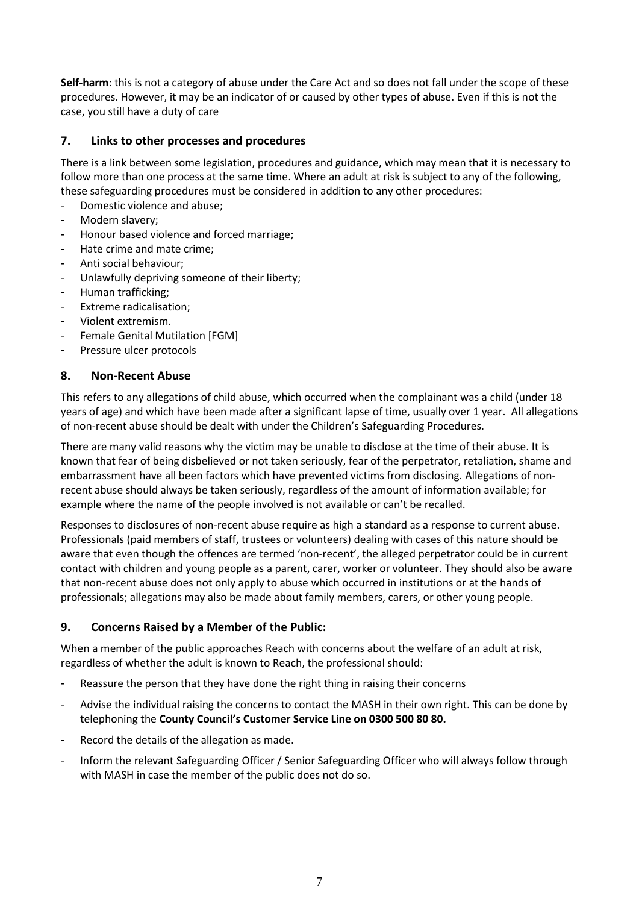**Self-harm**: this is not a category of abuse under the Care Act and so does not fall under the scope of these procedures. However, it may be an indicator of or caused by other types of abuse. Even if this is not the case, you still have a duty of care

#### **7. Links to other processes and procedures**

There is a link between some legislation, procedures and guidance, which may mean that it is necessary to follow more than one process at the same time. Where an adult at risk is subject to any of the following, these safeguarding procedures must be considered in addition to any other procedures:

- Domestic violence and abuse;
- Modern slavery;
- Honour based violence and forced marriage;
- Hate crime and mate crime;
- Anti social behaviour;
- Unlawfully depriving someone of their liberty;
- Human trafficking;
- Extreme radicalisation;
- Violent extremism.
- Female Genital Mutilation [FGM]
- Pressure ulcer protocols

#### **8. Non-Recent Abuse**

This refers to any allegations of child abuse, which occurred when the complainant was a child (under 18 years of age) and which have been made after a significant lapse of time, usually over 1 year. All allegations of non-recent abuse should be dealt with under the Children's Safeguarding Procedures.

There are many valid reasons why the victim may be unable to disclose at the time of their abuse. It is known that fear of being disbelieved or not taken seriously, fear of the perpetrator, retaliation, shame and embarrassment have all been factors which have prevented victims from disclosing. Allegations of nonrecent abuse should always be taken seriously, regardless of the amount of information available; for example where the name of the people involved is not available or can't be recalled.

Responses to disclosures of non-recent abuse require as high a standard as a response to current abuse. Professionals (paid members of staff, trustees or volunteers) dealing with cases of this nature should be aware that even though the offences are termed 'non-recent', the alleged perpetrator could be in current contact with children and young people as a parent, carer, worker or volunteer. They should also be aware that non-recent abuse does not only apply to abuse which occurred in institutions or at the hands of professionals; allegations may also be made about family members, carers, or other young people.

#### **9. Concerns Raised by a Member of the Public:**

When a member of the public approaches Reach with concerns about the welfare of an adult at risk, regardless of whether the adult is known to Reach, the professional should:

- Reassure the person that they have done the right thing in raising their concerns
- Advise the individual raising the concerns to contact the MASH in their own right. This can be done by telephoning the **County Council's Customer Service Line on 0300 500 80 80.**
- Record the details of the allegation as made.
- Inform the relevant Safeguarding Officer / Senior Safeguarding Officer who will always follow through with MASH in case the member of the public does not do so.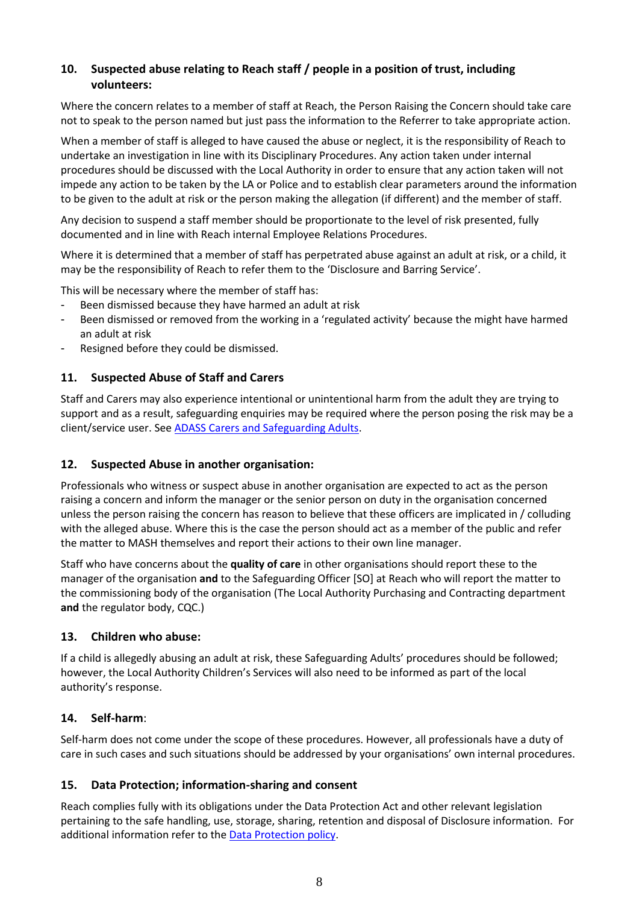#### **10. Suspected abuse relating to Reach staff / people in a position of trust, including volunteers:**

Where the concern relates to a member of staff at Reach, the Person Raising the Concern should take care not to speak to the person named but just pass the information to the Referrer to take appropriate action.

When a member of staff is alleged to have caused the abuse or neglect, it is the responsibility of Reach to undertake an investigation in line with its Disciplinary Procedures. Any action taken under internal procedures should be discussed with the Local Authority in order to ensure that any action taken will not impede any action to be taken by the LA or Police and to establish clear parameters around the information to be given to the adult at risk or the person making the allegation (if different) and the member of staff.

Any decision to suspend a staff member should be proportionate to the level of risk presented, fully documented and in line with Reach internal Employee Relations Procedures.

Where it is determined that a member of staff has perpetrated abuse against an adult at risk, or a child, it may be the responsibility of Reach to refer them to the 'Disclosure and Barring Service'.

This will be necessary where the member of staff has:

- Been dismissed because they have harmed an adult at risk
- Been dismissed or removed from the working in a 'regulated activity' because the might have harmed an adult at risk
- Resigned before they could be dismissed.

#### **11. Suspected Abuse of Staff and Carers**

Staff and Carers may also experience intentional or unintentional harm from the adult they are trying to support and as a result, safeguarding enquiries may be required where the person posing the risk may be a client/service user. Se[e ADASS Carers and Safeguarding Adults.](https://reachuk.sharepoint.com/sites/documentlibrary/Shared%20Documents/Policies%20and%20Procedures/Procedures%20and%20forms/Safeguarding%20and%20Prevent/Carers%20and%20safeguarding%20document%20June%202011.pdf)

#### **12. Suspected Abuse in another organisation:**

Professionals who witness or suspect abuse in another organisation are expected to act as the person raising a concern and inform the manager or the senior person on duty in the organisation concerned unless the person raising the concern has reason to believe that these officers are implicated in / colluding with the alleged abuse. Where this is the case the person should act as a member of the public and refer the matter to MASH themselves and report their actions to their own line manager.

Staff who have concerns about the **quality of care** in other organisations should report these to the manager of the organisation **and** to the Safeguarding Officer [SO] at Reach who will report the matter to the commissioning body of the organisation (The Local Authority Purchasing and Contracting department **and** the regulator body, CQC.)

#### **13. Children who abuse:**

If a child is allegedly abusing an adult at risk, these Safeguarding Adults' procedures should be followed; however, the Local Authority Children's Services will also need to be informed as part of the local authority's response.

#### **14. Self-harm**:

Self-harm does not come under the scope of these procedures. However, all professionals have a duty of care in such cases and such situations should be addressed by your organisations' own internal procedures.

#### **15. Data Protection; information-sharing and consent**

Reach complies fully with its obligations under the Data Protection Act and other relevant legislation pertaining to the safe handling, use, storage, sharing, retention and disposal of Disclosure information. For additional information refer to th[e Data Protection policy.](https://reachuk.sharepoint.com/sites/documentlibrary/Shared%20Documents/Forms/AllItems.aspx?id=%2Fsites%2Fdocumentlibrary%2FShared%20Documents%2FPolicies%20and%20Procedures%2FCurrent%20Policies%2FData%20Protection%20Policy%2Epdf&parent=%2Fsites%2Fdocumentlibrary%2FShared%20Documents%2FPolicies%20and%20Procedures%2FCurrent%20Policies)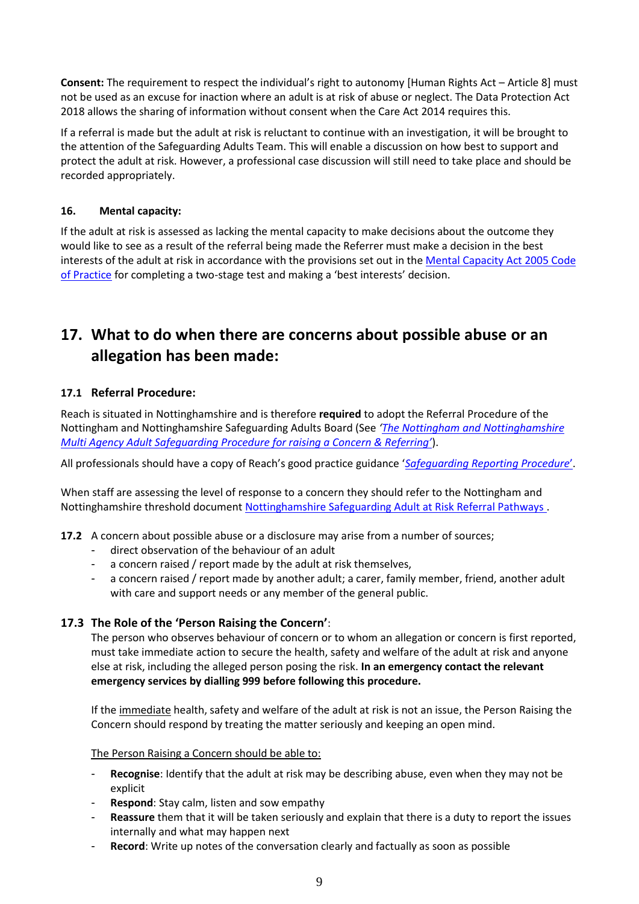**Consent:** The requirement to respect the individual's right to autonomy [Human Rights Act – Article 8] must not be used as an excuse for inaction where an adult is at risk of abuse or neglect. The Data Protection Act 2018 allows the sharing of information without consent when the Care Act 2014 requires this.

If a referral is made but the adult at risk is reluctant to continue with an investigation, it will be brought to the attention of the Safeguarding Adults Team. This will enable a discussion on how best to support and protect the adult at risk. However, a professional case discussion will still need to take place and should be recorded appropriately.

#### **16. Mental capacity:**

If the adult at risk is assessed as lacking the mental capacity to make decisions about the outcome they would like to see as a result of the referral being made the Referrer must make a decision in the best interests of the adult at risk in accordance with the provisions set out in th[e Mental Capacity Act 2005 Code](https://reachuk.sharepoint.com/sites/documentlibrary/Shared%20Documents/Policies%20and%20Procedures/Procedures%20and%20forms/Safeguarding%20and%20Prevent/Mental-capacity-act-code-of-practice.pdf)  [of Practice](https://reachuk.sharepoint.com/sites/documentlibrary/Shared%20Documents/Policies%20and%20Procedures/Procedures%20and%20forms/Safeguarding%20and%20Prevent/Mental-capacity-act-code-of-practice.pdf) for completing a two-stage test and making a 'best interests' decision.

## **17. What to do when there are concerns about possible abuse or an allegation has been made:**

#### **17.1 Referral Procedure:**

Reach is situated in Nottinghamshire and is therefore **required** to adopt the Referral Procedure of the Nottingham and Nottinghamshire Safeguarding Adults Board (See *'[The Nottingham and Nottinghamshire](https://reachuk.sharepoint.com/sites/documentlibrary/Shared%20Documents/Policies%20and%20Procedures/Procedures%20and%20forms/Safeguarding/Nottm%20and%20Notts%20Multi%20Agency%20Adult%20Safeguarding%20Procedure.pdf)  [Multi Agency Adult Safeguarding Procedure for raising a Concern & Referring'](https://reachuk.sharepoint.com/sites/documentlibrary/Shared%20Documents/Policies%20and%20Procedures/Procedures%20and%20forms/Safeguarding/Nottm%20and%20Notts%20Multi%20Agency%20Adult%20Safeguarding%20Procedure.pdf)*).

All professionals should have a copy of Reach's good practice guidance '*[Safeguarding Reporting Procedure](https://reachuk.sharepoint.com/sites/documentlibrary/Shared%20Documents/Policies%20and%20Procedures/Procedures%20and%20forms/Safeguarding/Safeguarding%20Reporting%20Procedures)*'.

When staff are assessing the level of response to a concern they should refer to the Nottingham and Nottinghamshire threshold document [Nottinghamshire Safeguarding Adult at Risk Referral Pathways](https://reachuk.sharepoint.com/sites/documentlibrary/Shared%20Documents/Policies%20and%20Procedures/Procedures%20and%20forms/Safeguarding%20and%20Prevent/safeguardingadultsreferralpathway.pdf) .

- **17.2** A concern about possible abuse or a disclosure may arise from a number of sources;
	- direct observation of the behaviour of an adult
	- a concern raised / report made by the adult at risk themselves,
	- a concern raised / report made by another adult; a carer, family member, friend, another adult with care and support needs or any member of the general public.

#### **17.3 The Role of the 'Person Raising the Concern'**:

The person who observes behaviour of concern or to whom an allegation or concern is first reported, must take immediate action to secure the health, safety and welfare of the adult at risk and anyone else at risk, including the alleged person posing the risk. **In an emergency contact the relevant emergency services by dialling 999 before following this procedure.**

If the immediate health, safety and welfare of the adult at risk is not an issue, the Person Raising the Concern should respond by treating the matter seriously and keeping an open mind.

#### The Person Raising a Concern should be able to:

- **Recognise**: Identify that the adult at risk may be describing abuse, even when they may not be explicit
- Respond: Stay calm, listen and sow empathy
- Reassure them that it will be taken seriously and explain that there is a duty to report the issues internally and what may happen next
- **Record**: Write up notes of the conversation clearly and factually as soon as possible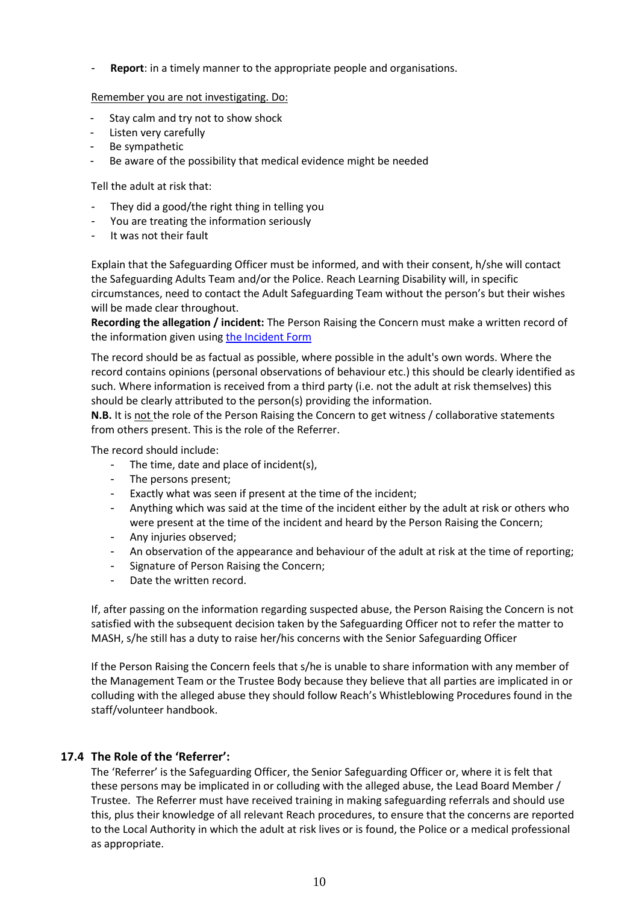**Report:** in a timely manner to the appropriate people and organisations.

Remember you are not investigating. Do:

- Stay calm and try not to show shock
- Listen very carefully
- Be sympathetic
- Be aware of the possibility that medical evidence might be needed

Tell the adult at risk that:

- They did a good/the right thing in telling you
- You are treating the information seriously
- It was not their fault

Explain that the Safeguarding Officer must be informed, and with their consent, h/she will contact the Safeguarding Adults Team and/or the Police. Reach Learning Disability will, in specific circumstances, need to contact the Adult Safeguarding Team without the person's but their wishes will be made clear throughout.

**Recording the allegation / incident:** The Person Raising the Concern must make a written record of the information given usin[g the Incident Form](https://reachuk.sharepoint.com/:w:/r/sites/documentlibrary/_layouts/15/Doc.aspx?sourcedoc=%7BE0BA724C-06CF-4587-B493-2D2A564C79F2%7D&file=Safeguarding%20Incident%20Report%20Form.docx&action=default&mobileredirect=true)

The record should be as factual as possible, where possible in the adult's own words. Where the record contains opinions (personal observations of behaviour etc.) this should be clearly identified as such. Where information is received from a third party (i.e. not the adult at risk themselves) this should be clearly attributed to the person(s) providing the information.

**N.B.** It is not the role of the Person Raising the Concern to get witness / collaborative statements from others present. This is the role of the Referrer.

The record should include:

- The time, date and place of incident(s),
- The persons present;
- Exactly what was seen if present at the time of the incident;
- Anything which was said at the time of the incident either by the adult at risk or others who were present at the time of the incident and heard by the Person Raising the Concern;
- Any injuries observed;
- An observation of the appearance and behaviour of the adult at risk at the time of reporting;
- Signature of Person Raising the Concern;
- Date the written record.

If, after passing on the information regarding suspected abuse, the Person Raising the Concern is not satisfied with the subsequent decision taken by the Safeguarding Officer not to refer the matter to MASH, s/he still has a duty to raise her/his concerns with the Senior Safeguarding Officer

If the Person Raising the Concern feels that s/he is unable to share information with any member of the Management Team or the Trustee Body because they believe that all parties are implicated in or colluding with the alleged abuse they should follow Reach's Whistleblowing Procedures found in the staff/volunteer handbook.

#### **17.4 The Role of the 'Referrer':**

The 'Referrer' is the Safeguarding Officer, the Senior Safeguarding Officer or, where it is felt that these persons may be implicated in or colluding with the alleged abuse, the Lead Board Member / Trustee. The Referrer must have received training in making safeguarding referrals and should use this, plus their knowledge of all relevant Reach procedures, to ensure that the concerns are reported to the Local Authority in which the adult at risk lives or is found, the Police or a medical professional as appropriate.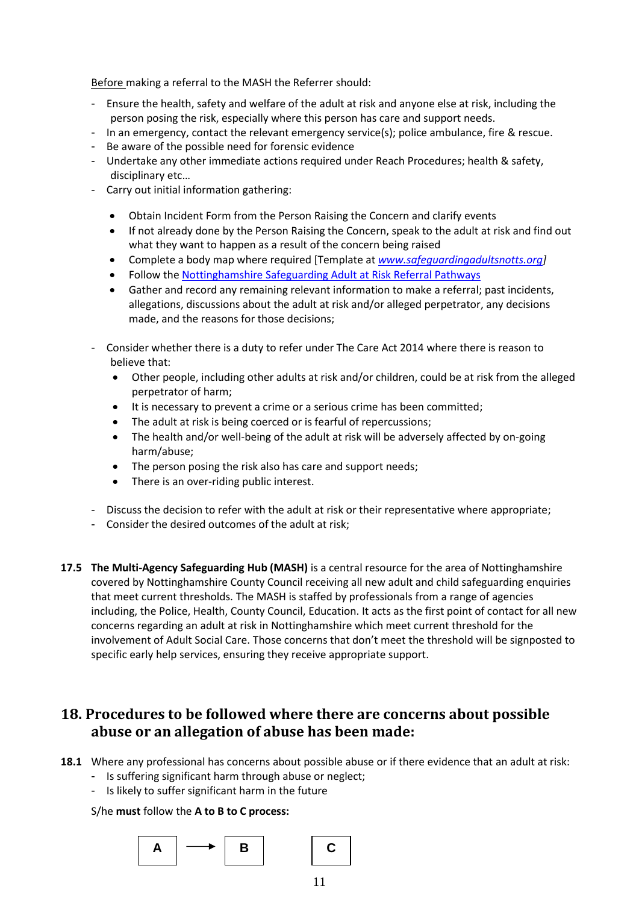Before making a referral to the MASH the Referrer should:

- Ensure the health, safety and welfare of the adult at risk and anyone else at risk, including the person posing the risk, especially where this person has care and support needs.
- In an emergency, contact the relevant emergency service(s); police ambulance, fire & rescue.
- Be aware of the possible need for forensic evidence
- Undertake any other immediate actions required under Reach Procedures; health & safety, disciplinary etc…
- Carry out initial information gathering:
	- Obtain Incident Form from the Person Raising the Concern and clarify events
	- If not already done by the Person Raising the Concern, speak to the adult at risk and find out what they want to happen as a result of the concern being raised
	- Complete a body map where required [Template at *[www.safeguardingadultsnotts.org\]](http://www.safeguardingadultsnotts.org/)*
	- Follow th[e Nottinghamshire Safeguarding Adult at Risk Referral Pathways](https://reachuk.sharepoint.com/sites/documentlibrary/Shared%20Documents/Policies%20and%20Procedures/Procedures%20and%20forms/Safeguarding%20and%20Prevent/safeguardingadultsreferralpathway.pdf)
	- Gather and record any remaining relevant information to make a referral; past incidents, allegations, discussions about the adult at risk and/or alleged perpetrator, any decisions made, and the reasons for those decisions;
- Consider whether there is a duty to refer under The Care Act 2014 where there is reason to believe that:
	- Other people, including other adults at risk and/or children, could be at risk from the alleged perpetrator of harm;
	- It is necessary to prevent a crime or a serious crime has been committed;
	- The adult at risk is being coerced or is fearful of repercussions;
	- The health and/or well-being of the adult at risk will be adversely affected by on-going harm/abuse;
	- The person posing the risk also has care and support needs;
	- There is an over-riding public interest.
- Discuss the decision to refer with the adult at risk or their representative where appropriate;
- Consider the desired outcomes of the adult at risk;
- **17.5 The Multi-Agency Safeguarding Hub (MASH)** is a central resource for the area of Nottinghamshire covered by Nottinghamshire County Council receiving all new adult and child safeguarding enquiries that meet current thresholds. The MASH is staffed by professionals from a range of agencies including, the Police, Health, County Council, Education. It acts as the first point of contact for all new concerns regarding an adult at risk in Nottinghamshire which meet current threshold for the involvement of Adult Social Care. Those concerns that don't meet the threshold will be signposted to specific early help services, ensuring they receive appropriate support.

### **18. Procedures to be followed where there are concerns about possible abuse or an allegation of abuse has been made:**

- **18.1** Where any professional has concerns about possible abuse or if there evidence that an adult at risk:
	- Is suffering significant harm through abuse or neglect;
	- Is likely to suffer significant harm in the future

#### S/he **must** follow the **A to B to C process:**

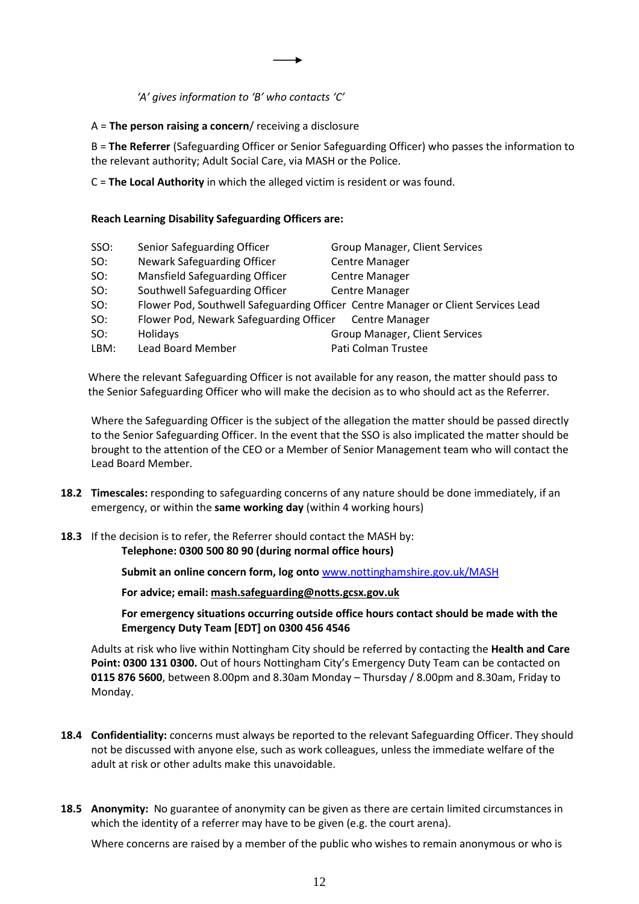*'A' gives information to 'B' who contacts 'C'*

A = **The person raising a concern**/ receiving a disclosure

B = **The Referrer** (Safeguarding Officer or Senior Safeguarding Officer) who passes the information to the relevant authority; Adult Social Care, via MASH or the Police.

C = **The Local Authority** in which the alleged victim is resident or was found.

#### **Reach Learning Disability Safeguarding Officers are:**

| SSO: | Senior Safeguarding Officer                            | Group Manager, Client Services                                                    |
|------|--------------------------------------------------------|-----------------------------------------------------------------------------------|
| SO:  | Newark Safeguarding Officer                            | <b>Centre Manager</b>                                                             |
| SO:  | Mansfield Safeguarding Officer                         | <b>Centre Manager</b>                                                             |
| SO:  | Southwell Safeguarding Officer                         | <b>Centre Manager</b>                                                             |
| SO:  |                                                        | Flower Pod, Southwell Safeguarding Officer Centre Manager or Client Services Lead |
| SO:  | Flower Pod, Newark Safeguarding Officer Centre Manager |                                                                                   |
| SO:  | <b>Holidays</b>                                        | Group Manager, Client Services                                                    |
| LBM: | Lead Board Member                                      | Pati Colman Trustee                                                               |
|      |                                                        |                                                                                   |

Where the relevant Safeguarding Officer is not available for any reason, the matter should pass to the Senior Safeguarding Officer who will make the decision as to who should act as the Referrer.

Where the Safeguarding Officer is the subject of the allegation the matter should be passed directly to the Senior Safeguarding Officer. In the event that the SSO is also implicated the matter should be brought to the attention of the CEO or a Member of Senior Management team who will contact the Lead Board Member.

- **18.2 Timescales:** responding to safeguarding concerns of any nature should be done immediately, if an emergency, or within the **same working day** (within 4 working hours)
- **18.3** If the decision is to refer, the Referrer should contact the MASH by: **Telephone: 0300 500 80 90 (during normal office hours)**

**Submit an online concern form, log onto** [www.nottinghamshire.gov.uk/MASH](http://www.nottinghamshire.gov.uk/MASH)

**For advice; email[: mash.safeguarding@notts.gcsx.gov.uk](mailto:mash.safeguarding@notts.gcsx.gov.uk)**

**For emergency situations occurring outside office hours contact should be made with the Emergency Duty Team [EDT] on 0300 456 4546**

Adults at risk who live within Nottingham City should be referred by contacting the **Health and Care Point: 0300 131 0300.** Out of hours Nottingham City's Emergency Duty Team can be contacted on **0115 876 5600**, between 8.00pm and 8.30am Monday – Thursday / 8.00pm and 8.30am, Friday to Monday.

- **18.4 Confidentiality:** concerns must always be reported to the relevant Safeguarding Officer. They should not be discussed with anyone else, such as work colleagues, unless the immediate welfare of the adult at risk or other adults make this unavoidable.
- **18.5 Anonymity:** No guarantee of anonymity can be given as there are certain limited circumstances in which the identity of a referrer may have to be given (e.g. the court arena).

Where concerns are raised by a member of the public who wishes to remain anonymous or who is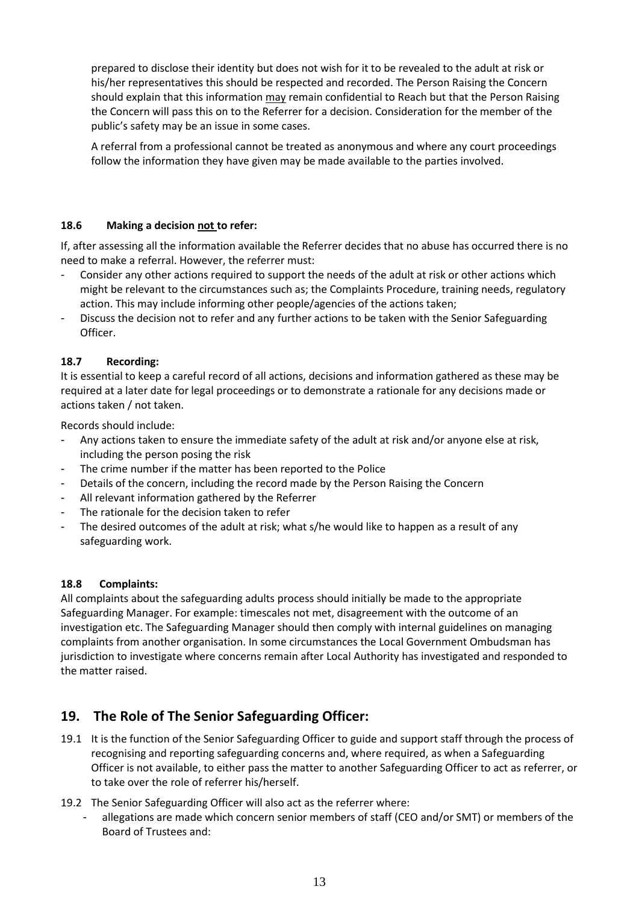prepared to disclose their identity but does not wish for it to be revealed to the adult at risk or his/her representatives this should be respected and recorded. The Person Raising the Concern should explain that this information may remain confidential to Reach but that the Person Raising the Concern will pass this on to the Referrer for a decision. Consideration for the member of the public's safety may be an issue in some cases.

A referral from a professional cannot be treated as anonymous and where any court proceedings follow the information they have given may be made available to the parties involved.

#### **18.6 Making a decision not to refer:**

If, after assessing all the information available the Referrer decides that no abuse has occurred there is no need to make a referral. However, the referrer must:

- Consider any other actions required to support the needs of the adult at risk or other actions which might be relevant to the circumstances such as; the Complaints Procedure, training needs, regulatory action. This may include informing other people/agencies of the actions taken;
- Discuss the decision not to refer and any further actions to be taken with the Senior Safeguarding Officer.

#### **18.7 Recording:**

It is essential to keep a careful record of all actions, decisions and information gathered as these may be required at a later date for legal proceedings or to demonstrate a rationale for any decisions made or actions taken / not taken.

Records should include:

- Any actions taken to ensure the immediate safety of the adult at risk and/or anyone else at risk, including the person posing the risk
- The crime number if the matter has been reported to the Police
- Details of the concern, including the record made by the Person Raising the Concern
- All relevant information gathered by the Referrer
- The rationale for the decision taken to refer
- The desired outcomes of the adult at risk; what s/he would like to happen as a result of any safeguarding work.

#### **18.8 Complaints:**

All complaints about the safeguarding adults process should initially be made to the appropriate Safeguarding Manager. For example: timescales not met, disagreement with the outcome of an investigation etc. The Safeguarding Manager should then comply with internal guidelines on managing complaints from another organisation. In some circumstances the Local Government Ombudsman has jurisdiction to investigate where concerns remain after Local Authority has investigated and responded to the matter raised.

#### **19. The Role of The Senior Safeguarding Officer:**

- 19.1 It is the function of the Senior Safeguarding Officer to guide and support staff through the process of recognising and reporting safeguarding concerns and, where required, as when a Safeguarding Officer is not available, to either pass the matter to another Safeguarding Officer to act as referrer, or to take over the role of referrer his/herself.
- 19.2 The Senior Safeguarding Officer will also act as the referrer where:
	- allegations are made which concern senior members of staff (CEO and/or SMT) or members of the Board of Trustees and: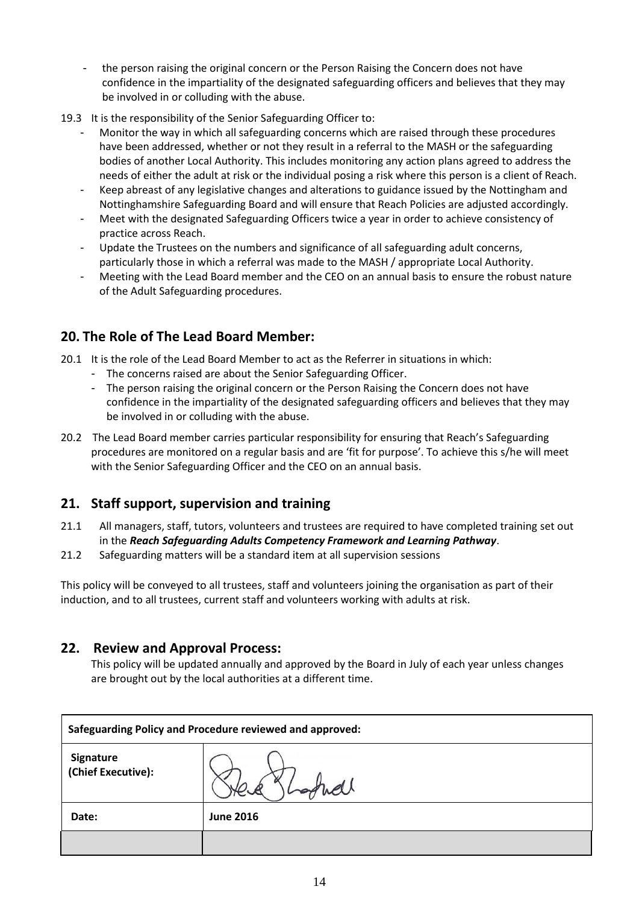- the person raising the original concern or the Person Raising the Concern does not have confidence in the impartiality of the designated safeguarding officers and believes that they may be involved in or colluding with the abuse.
- 19.3 It is the responsibility of the Senior Safeguarding Officer to:
	- Monitor the way in which all safeguarding concerns which are raised through these procedures have been addressed, whether or not they result in a referral to the MASH or the safeguarding bodies of another Local Authority. This includes monitoring any action plans agreed to address the needs of either the adult at risk or the individual posing a risk where this person is a client of Reach.
	- Keep abreast of any legislative changes and alterations to guidance issued by the Nottingham and Nottinghamshire Safeguarding Board and will ensure that Reach Policies are adjusted accordingly.
	- Meet with the designated Safeguarding Officers twice a year in order to achieve consistency of practice across Reach.
	- Update the Trustees on the numbers and significance of all safeguarding adult concerns, particularly those in which a referral was made to the MASH / appropriate Local Authority.
	- Meeting with the Lead Board member and the CEO on an annual basis to ensure the robust nature of the Adult Safeguarding procedures.

#### **20. The Role of The Lead Board Member:**

- 20.1 It is the role of the Lead Board Member to act as the Referrer in situations in which:
	- The concerns raised are about the Senior Safeguarding Officer.
	- The person raising the original concern or the Person Raising the Concern does not have confidence in the impartiality of the designated safeguarding officers and believes that they may be involved in or colluding with the abuse.
- 20.2 The Lead Board member carries particular responsibility for ensuring that Reach's Safeguarding procedures are monitored on a regular basis and are 'fit for purpose'. To achieve this s/he will meet with the Senior Safeguarding Officer and the CEO on an annual basis.

#### **21. Staff support, supervision and training**

- 21.1 All managers, staff, tutors, volunteers and trustees are required to have completed training set out in the *Reach Safeguarding Adults Competency Framework and Learning Pathway*.
- 21.2 Safeguarding matters will be a standard item at all supervision sessions

This policy will be conveyed to all trustees, staff and volunteers joining the organisation as part of their induction, and to all trustees, current staff and volunteers working with adults at risk.

#### **22. Review and Approval Process:**

This policy will be updated annually and approved by the Board in July of each year unless changes are brought out by the local authorities at a different time.

| <b>Safeguarding Policy and Procedure reviewed and approved:</b> |                  |
|-----------------------------------------------------------------|------------------|
| Signature<br>(Chief Executive):                                 | oquel            |
| Date:                                                           | <b>June 2016</b> |
|                                                                 |                  |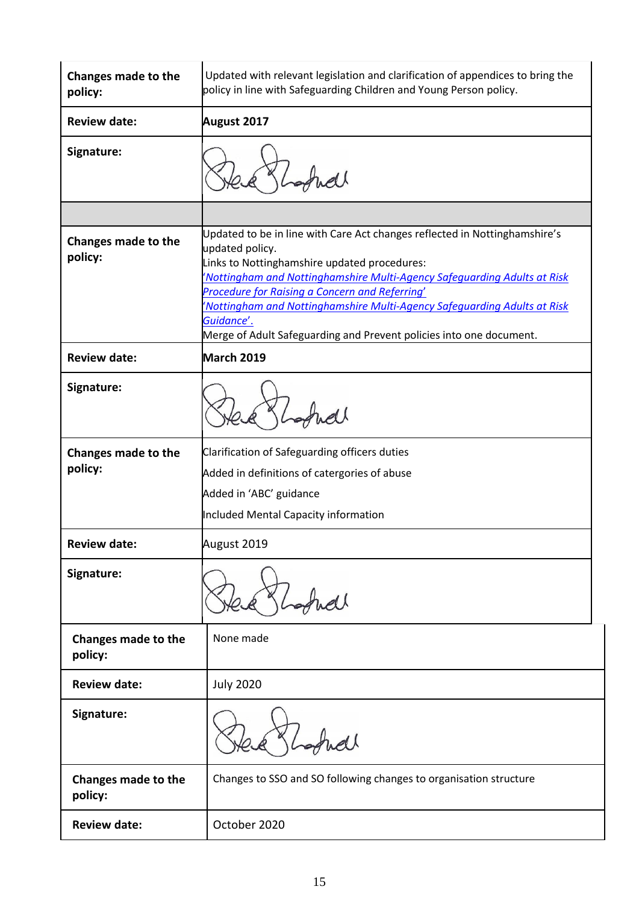| Changes made to the<br>policy: | Updated with relevant legislation and clarification of appendices to bring the<br>policy in line with Safeguarding Children and Young Person policy.                                                                                                                                                                                                                                                                                         |
|--------------------------------|----------------------------------------------------------------------------------------------------------------------------------------------------------------------------------------------------------------------------------------------------------------------------------------------------------------------------------------------------------------------------------------------------------------------------------------------|
| <b>Review date:</b>            | <b>August 2017</b>                                                                                                                                                                                                                                                                                                                                                                                                                           |
| Signature:                     |                                                                                                                                                                                                                                                                                                                                                                                                                                              |
|                                |                                                                                                                                                                                                                                                                                                                                                                                                                                              |
| Changes made to the<br>policy: | Updated to be in line with Care Act changes reflected in Nottinghamshire's<br>updated policy.<br>Links to Nottinghamshire updated procedures:<br>'Nottingham and Nottinghamshire Multi-Agency Safequarding Adults at Risk<br>Procedure for Raising a Concern and Referring'<br>'Nottingham and Nottinghamshire Multi-Agency Safeguarding Adults at Risk<br>Guidance'.<br>Merge of Adult Safeguarding and Prevent policies into one document. |
| <b>Review date:</b>            | March 2019                                                                                                                                                                                                                                                                                                                                                                                                                                   |
| Signature:                     |                                                                                                                                                                                                                                                                                                                                                                                                                                              |
| Changes made to the<br>policy: | Clarification of Safeguarding officers duties<br>Added in definitions of catergories of abuse<br>Added in 'ABC' guidance<br>Included Mental Capacity information                                                                                                                                                                                                                                                                             |
| <b>Review date:</b>            | August 2019                                                                                                                                                                                                                                                                                                                                                                                                                                  |
| Signature:                     |                                                                                                                                                                                                                                                                                                                                                                                                                                              |
| Changes made to the<br>policy: | None made                                                                                                                                                                                                                                                                                                                                                                                                                                    |
| <b>Review date:</b>            | <b>July 2020</b>                                                                                                                                                                                                                                                                                                                                                                                                                             |
| Signature:                     |                                                                                                                                                                                                                                                                                                                                                                                                                                              |
| Changes made to the<br>policy: | Changes to SSO and SO following changes to organisation structure                                                                                                                                                                                                                                                                                                                                                                            |
| <b>Review date:</b>            | October 2020                                                                                                                                                                                                                                                                                                                                                                                                                                 |